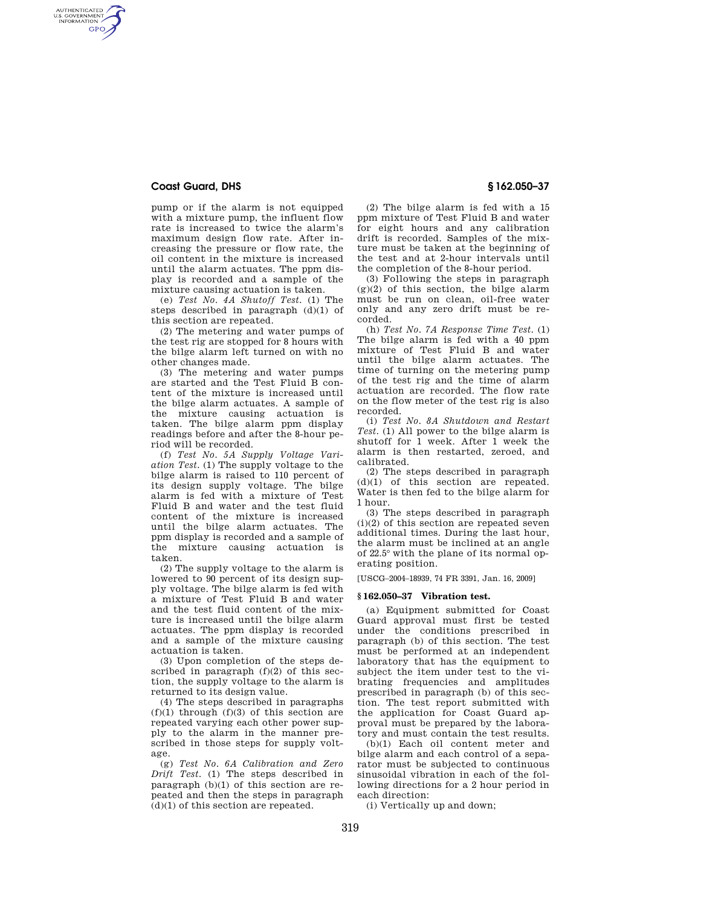#### **Coast Guard, DHS § 162.050–37**

AUTHENTICATED<br>U.S. GOVERNMENT<br>INFORMATION **GPO** 

> pump or if the alarm is not equipped with a mixture pump, the influent flow rate is increased to twice the alarm's maximum design flow rate. After increasing the pressure or flow rate, the oil content in the mixture is increased until the alarm actuates. The ppm display is recorded and a sample of the mixture causing actuation is taken.

> (e) *Test No. 4A Shutoff Test.* (1) The steps described in paragraph (d)(1) of this section are repeated.

> (2) The metering and water pumps of the test rig are stopped for 8 hours with the bilge alarm left turned on with no other changes made.

> (3) The metering and water pumps are started and the Test Fluid B content of the mixture is increased until the bilge alarm actuates. A sample of the mixture causing actuation is taken. The bilge alarm ppm display readings before and after the 8-hour period will be recorded.

> (f) *Test No. 5A Supply Voltage Variation Test.* (1) The supply voltage to the bilge alarm is raised to 110 percent of its design supply voltage. The bilge alarm is fed with a mixture of Test Fluid B and water and the test fluid content of the mixture is increased until the bilge alarm actuates. The ppm display is recorded and a sample of the mixture causing actuation is taken.

> (2) The supply voltage to the alarm is lowered to 90 percent of its design supply voltage. The bilge alarm is fed with a mixture of Test Fluid B and water and the test fluid content of the mixture is increased until the bilge alarm actuates. The ppm display is recorded and a sample of the mixture causing actuation is taken.

> (3) Upon completion of the steps described in paragraph  $(f)(2)$  of this section, the supply voltage to the alarm is returned to its design value.

> (4) The steps described in paragraphs  $(f)(1)$  through  $(f)(3)$  of this section are repeated varying each other power supply to the alarm in the manner prescribed in those steps for supply voltage.

> (g) *Test No. 6A Calibration and Zero Drift Test.* (1) The steps described in paragraph (b)(1) of this section are repeated and then the steps in paragraph (d)(1) of this section are repeated.

(2) The bilge alarm is fed with a 15 ppm mixture of Test Fluid B and water for eight hours and any calibration drift is recorded. Samples of the mixture must be taken at the beginning of the test and at 2-hour intervals until the completion of the 8-hour period.

(3) Following the steps in paragraph (g)(2) of this section, the bilge alarm must be run on clean, oil-free water only and any zero drift must be recorded.

(h) *Test No. 7A Response Time Test.* (1) The bilge alarm is fed with a 40 ppm mixture of Test Fluid B and water until the bilge alarm actuates. The time of turning on the metering pump of the test rig and the time of alarm actuation are recorded. The flow rate on the flow meter of the test rig is also recorded.

(i) *Test No. 8A Shutdown and Restart Test.* (1) All power to the bilge alarm is shutoff for 1 week. After 1 week the alarm is then restarted, zeroed, and calibrated.

(2) The steps described in paragraph  $(d)(1)$  of this section are repeated. Water is then fed to the bilge alarm for 1 hour.

(3) The steps described in paragraph (i)(2) of this section are repeated seven additional times. During the last hour, the alarm must be inclined at an angle of 22.5° with the plane of its normal operating position.

[USCG–2004–18939, 74 FR 3391, Jan. 16, 2009]

#### **§ 162.050–37 Vibration test.**

(a) Equipment submitted for Coast Guard approval must first be tested under the conditions prescribed in paragraph (b) of this section. The test must be performed at an independent laboratory that has the equipment to subject the item under test to the vibrating frequencies and amplitudes prescribed in paragraph (b) of this section. The test report submitted with the application for Coast Guard approval must be prepared by the laboratory and must contain the test results.

(b)(1) Each oil content meter and bilge alarm and each control of a separator must be subjected to continuous sinusoidal vibration in each of the following directions for a 2 hour period in each direction:

(i) Vertically up and down;